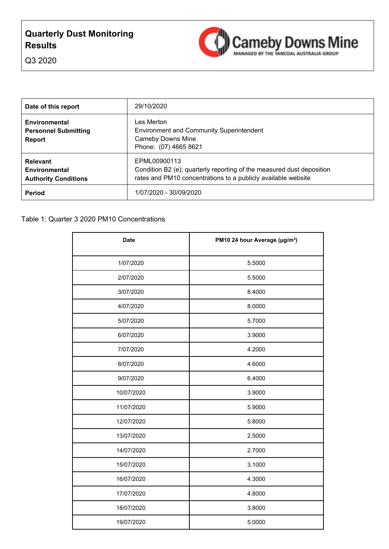# **Quarterly Dust Monitoring Results**



Q3 2020

| Date of this report                                                  | 29/10/2020                                                                                                                                             |
|----------------------------------------------------------------------|--------------------------------------------------------------------------------------------------------------------------------------------------------|
| <b>Environmental</b><br><b>Personnel Submitting</b><br><b>Report</b> | Les Merton<br><b>Environment and Community Superintendent</b><br><b>Cameby Downs Mine</b><br>Phone: (07) 4665 8621                                     |
| <b>Relevant</b><br>Environmental<br><b>Authority Conditions</b>      | EPML00900113<br>Condition B2 (e); quarterly reporting of the measured dust deposition<br>rates and PM10 concentrations to a publicly available website |
| Period                                                               | 1/07/2020 - 30/09/2020                                                                                                                                 |

| <b>Date</b> | PM10 24 hour Average (µg/m <sup>3</sup> ) |
|-------------|-------------------------------------------|
| 1/07/2020   | 5.5000                                    |
| 2/07/2020   | 5.5000                                    |
| 3/07/2020   | 8.4000                                    |
| 4/07/2020   | 8.0000                                    |
| 5/07/2020   | 5.7000                                    |
| 6/07/2020   | 3.9000                                    |
| 7/07/2020   | 4.2000                                    |
| 8/07/2020   | 4.6000                                    |
| 9/07/2020   | 6.4000                                    |
| 10/07/2020  | 3.9000                                    |
| 11/07/2020  | 5.9000                                    |
| 12/07/2020  | 5.8000                                    |
| 13/07/2020  | 2.5000                                    |
| 14/07/2020  | 2.7000                                    |
| 15/07/2020  | 3.1000                                    |
| 16/07/2020  | 4.3000                                    |
| 17/07/2020  | 4.8000                                    |
| 18/07/2020  | 3.8000                                    |
| 19/07/2020  | 5.0000                                    |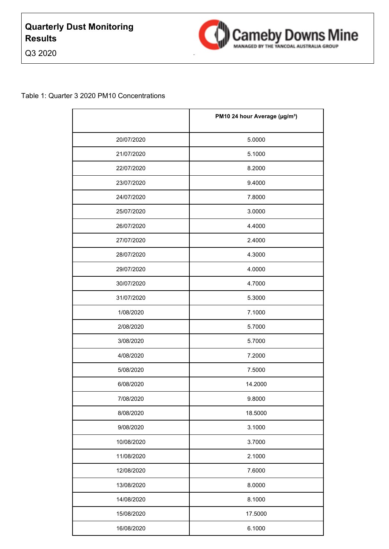Q3 2020



|            | PM10 24 hour Average (µg/m <sup>3</sup> ) |
|------------|-------------------------------------------|
| 20/07/2020 | 5.0000                                    |
| 21/07/2020 | 5.1000                                    |
| 22/07/2020 | 8.2000                                    |
| 23/07/2020 | 9.4000                                    |
| 24/07/2020 | 7.8000                                    |
| 25/07/2020 | 3.0000                                    |
| 26/07/2020 | 4.4000                                    |
| 27/07/2020 | 2.4000                                    |
| 28/07/2020 | 4.3000                                    |
| 29/07/2020 | 4.0000                                    |
| 30/07/2020 | 4.7000                                    |
| 31/07/2020 | 5.3000                                    |
| 1/08/2020  | 7.1000                                    |
| 2/08/2020  | 5.7000                                    |
| 3/08/2020  | 5.7000                                    |
| 4/08/2020  | 7.2000                                    |
| 5/08/2020  | 7.5000                                    |
| 6/08/2020  | 14.2000                                   |
| 7/08/2020  | 9.8000                                    |
| 8/08/2020  | 18.5000                                   |
| 9/08/2020  | 3.1000                                    |
| 10/08/2020 | 3.7000                                    |
| 11/08/2020 | 2.1000                                    |
| 12/08/2020 | 7.6000                                    |
| 13/08/2020 | 8.0000                                    |
| 14/08/2020 | 8.1000                                    |
| 15/08/2020 | 17.5000                                   |
| 16/08/2020 | 6.1000                                    |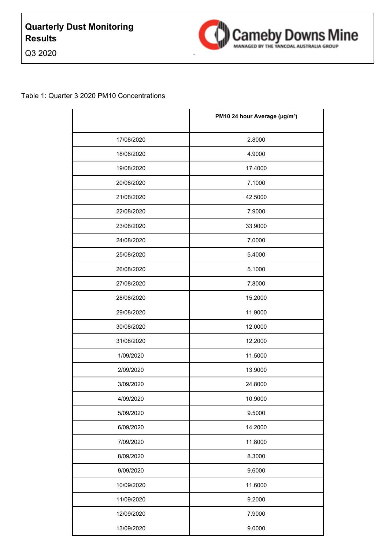Q3 2020



|            | PM10 24 hour Average (µg/m <sup>3</sup> ) |
|------------|-------------------------------------------|
| 17/08/2020 | 2.8000                                    |
| 18/08/2020 | 4.9000                                    |
| 19/08/2020 | 17.4000                                   |
| 20/08/2020 | 7.1000                                    |
| 21/08/2020 | 42.5000                                   |
| 22/08/2020 | 7.9000                                    |
| 23/08/2020 | 33.9000                                   |
| 24/08/2020 | 7.0000                                    |
| 25/08/2020 | 5.4000                                    |
| 26/08/2020 | 5.1000                                    |
| 27/08/2020 | 7.8000                                    |
| 28/08/2020 | 15.2000                                   |
| 29/08/2020 | 11.9000                                   |
| 30/08/2020 | 12.0000                                   |
| 31/08/2020 | 12.2000                                   |
| 1/09/2020  | 11.5000                                   |
| 2/09/2020  | 13.9000                                   |
| 3/09/2020  | 24.8000                                   |
| 4/09/2020  | 10.9000                                   |
| 5/09/2020  | 9.5000                                    |
| 6/09/2020  | 14.2000                                   |
| 7/09/2020  | 11.8000                                   |
| 8/09/2020  | 8.3000                                    |
| 9/09/2020  | 9.6000                                    |
| 10/09/2020 | 11.6000                                   |
| 11/09/2020 | 9.2000                                    |
| 12/09/2020 | 7.9000                                    |
| 13/09/2020 | 9.0000                                    |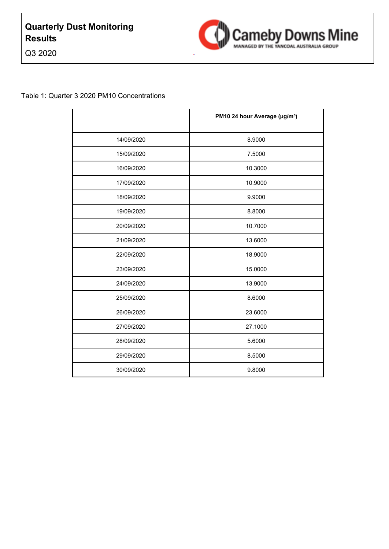Q3 2020



|            | PM10 24 hour Average (µg/m <sup>3</sup> ) |
|------------|-------------------------------------------|
| 14/09/2020 | 8.9000                                    |
| 15/09/2020 | 7.5000                                    |
| 16/09/2020 | 10.3000                                   |
| 17/09/2020 | 10.9000                                   |
| 18/09/2020 | 9.9000                                    |
| 19/09/2020 | 8.8000                                    |
| 20/09/2020 | 10.7000                                   |
| 21/09/2020 | 13.6000                                   |
| 22/09/2020 | 18.9000                                   |
| 23/09/2020 | 15.0000                                   |
| 24/09/2020 | 13.9000                                   |
| 25/09/2020 | 8.6000                                    |
| 26/09/2020 | 23.6000                                   |
| 27/09/2020 | 27.1000                                   |
| 28/09/2020 | 5.6000                                    |
| 29/09/2020 | 8.5000                                    |
| 30/09/2020 | 9.8000                                    |